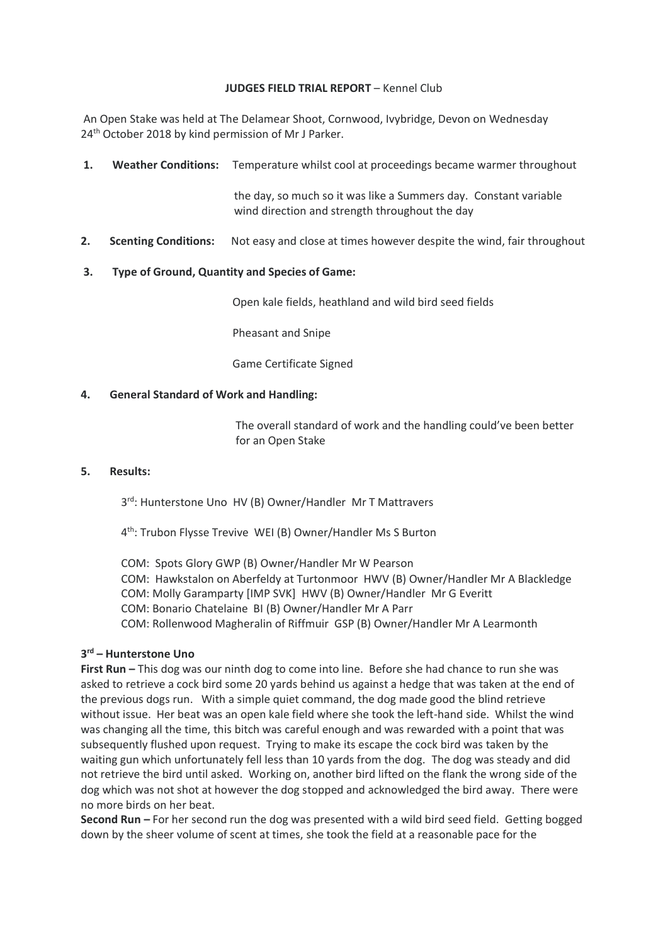### **JUDGES FIELD TRIAL REPORT** – Kennel Club

An Open Stake was held at The Delamear Shoot, Cornwood, Ivybridge, Devon on Wednesday 24<sup>th</sup> October 2018 by kind permission of Mr J Parker.

**1. Weather Conditions:** Temperature whilst cool at proceedings became warmer throughout

 the day, so much so it was like a Summers day. Constant variable wind direction and strength throughout the day

**2. Scenting Conditions:** Not easy and close at times however despite the wind, fair throughout

## **3. Type of Ground, Quantity and Species of Game:**

Open kale fields, heathland and wild bird seed fields

Pheasant and Snipe

Game Certificate Signed

### **4. General Standard of Work and Handling:**

The overall standard of work and the handling could've been better for an Open Stake

#### **5. Results:**

3rd: Hunterstone Uno HV (B) Owner/Handler Mr T Mattravers

4 th: Trubon Flysse Trevive WEI (B) Owner/Handler Ms S Burton

COM: Spots Glory GWP (B) Owner/Handler Mr W Pearson COM: Hawkstalon on Aberfeldy at Turtonmoor HWV (B) Owner/Handler Mr A Blackledge COM: Molly Garamparty [IMP SVK] HWV (B) Owner/Handler Mr G Everitt COM: Bonario Chatelaine BI (B) Owner/Handler Mr A Parr COM: Rollenwood Magheralin of Riffmuir GSP (B) Owner/Handler Mr A Learmonth

# **3 rd – Hunterstone Uno**

**First Run –** This dog was our ninth dog to come into line. Before she had chance to run she was asked to retrieve a cock bird some 20 yards behind us against a hedge that was taken at the end of the previous dogs run. With a simple quiet command, the dog made good the blind retrieve without issue. Her beat was an open kale field where she took the left-hand side. Whilst the wind was changing all the time, this bitch was careful enough and was rewarded with a point that was subsequently flushed upon request. Trying to make its escape the cock bird was taken by the waiting gun which unfortunately fell less than 10 yards from the dog. The dog was steady and did not retrieve the bird until asked. Working on, another bird lifted on the flank the wrong side of the dog which was not shot at however the dog stopped and acknowledged the bird away. There were no more birds on her beat.

**Second Run –** For her second run the dog was presented with a wild bird seed field. Getting bogged down by the sheer volume of scent at times, she took the field at a reasonable pace for the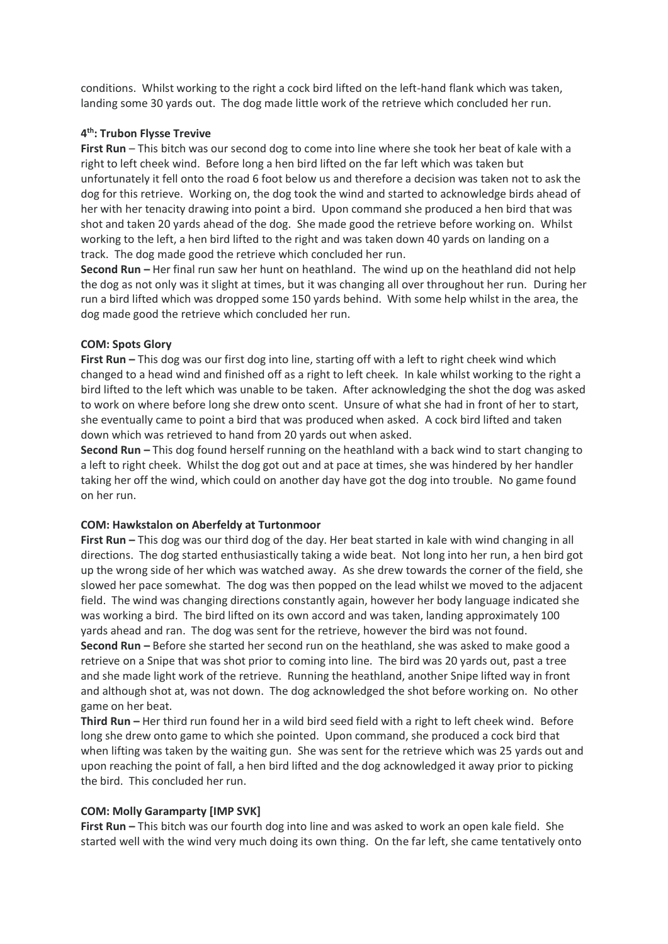conditions. Whilst working to the right a cock bird lifted on the left-hand flank which was taken, landing some 30 yards out. The dog made little work of the retrieve which concluded her run.

# **4 th: Trubon Flysse Trevive**

**First Run** – This bitch was our second dog to come into line where she took her beat of kale with a right to left cheek wind. Before long a hen bird lifted on the far left which was taken but unfortunately it fell onto the road 6 foot below us and therefore a decision was taken not to ask the dog for this retrieve. Working on, the dog took the wind and started to acknowledge birds ahead of her with her tenacity drawing into point a bird. Upon command she produced a hen bird that was shot and taken 20 yards ahead of the dog. She made good the retrieve before working on. Whilst working to the left, a hen bird lifted to the right and was taken down 40 yards on landing on a track. The dog made good the retrieve which concluded her run.

**Second Run –** Her final run saw her hunt on heathland. The wind up on the heathland did not help the dog as not only was it slight at times, but it was changing all over throughout her run. During her run a bird lifted which was dropped some 150 yards behind. With some help whilst in the area, the dog made good the retrieve which concluded her run.

#### **COM: Spots Glory**

**First Run –** This dog was our first dog into line, starting off with a left to right cheek wind which changed to a head wind and finished off as a right to left cheek. In kale whilst working to the right a bird lifted to the left which was unable to be taken. After acknowledging the shot the dog was asked to work on where before long she drew onto scent. Unsure of what she had in front of her to start, she eventually came to point a bird that was produced when asked. A cock bird lifted and taken down which was retrieved to hand from 20 yards out when asked.

**Second Run –** This dog found herself running on the heathland with a back wind to start changing to a left to right cheek. Whilst the dog got out and at pace at times, she was hindered by her handler taking her off the wind, which could on another day have got the dog into trouble. No game found on her run.

#### **COM: Hawkstalon on Aberfeldy at Turtonmoor**

**First Run –** This dog was our third dog of the day. Her beat started in kale with wind changing in all directions. The dog started enthusiastically taking a wide beat. Not long into her run, a hen bird got up the wrong side of her which was watched away. As she drew towards the corner of the field, she slowed her pace somewhat. The dog was then popped on the lead whilst we moved to the adjacent field. The wind was changing directions constantly again, however her body language indicated she was working a bird. The bird lifted on its own accord and was taken, landing approximately 100 yards ahead and ran. The dog was sent for the retrieve, however the bird was not found. **Second Run –** Before she started her second run on the heathland, she was asked to make good a retrieve on a Snipe that was shot prior to coming into line. The bird was 20 yards out, past a tree and she made light work of the retrieve. Running the heathland, another Snipe lifted way in front and although shot at, was not down. The dog acknowledged the shot before working on. No other game on her beat.

**Third Run –** Her third run found her in a wild bird seed field with a right to left cheek wind. Before long she drew onto game to which she pointed. Upon command, she produced a cock bird that when lifting was taken by the waiting gun. She was sent for the retrieve which was 25 yards out and upon reaching the point of fall, a hen bird lifted and the dog acknowledged it away prior to picking the bird. This concluded her run.

#### **COM: Molly Garamparty [IMP SVK]**

**First Run –** This bitch was our fourth dog into line and was asked to work an open kale field. She started well with the wind very much doing its own thing. On the far left, she came tentatively onto